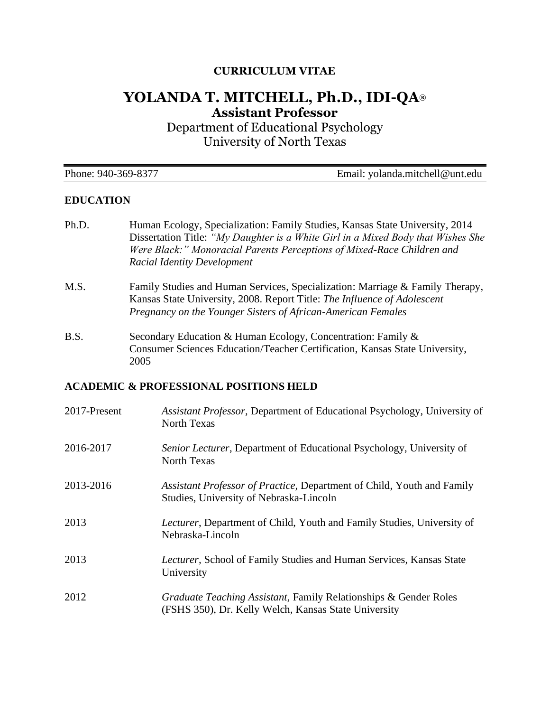## **CURRICULUM VITAE**

# **YOLANDA T. MITCHELL, Ph.D., IDI-QA® Assistant Professor**

Department of Educational Psychology University of North Texas

| Phone: 940-369-8377 | Email: yolanda.mitchell@unt.edu |
|---------------------|---------------------------------|
|---------------------|---------------------------------|

#### **EDUCATION**

- Ph.D. Human Ecology, Specialization: Family Studies, Kansas State University, 2014 Dissertation Title: *"My Daughter is a White Girl in a Mixed Body that Wishes She Were Black:" Monoracial Parents Perceptions of Mixed-Race Children and Racial Identity Development*
- M.S. Family Studies and Human Services, Specialization: Marriage & Family Therapy, Kansas State University, 2008. Report Title: *The Influence of Adolescent Pregnancy on the Younger Sisters of African-American Females*
- B.S. Secondary Education & Human Ecology, Concentration: Family & Consumer Sciences Education/Teacher Certification, Kansas State University, 2005

#### **ACADEMIC & PROFESSIONAL POSITIONS HELD**

| 2017-Present | Assistant Professor, Department of Educational Psychology, University of<br><b>North Texas</b>                           |
|--------------|--------------------------------------------------------------------------------------------------------------------------|
| 2016-2017    | Senior Lecturer, Department of Educational Psychology, University of<br><b>North Texas</b>                               |
| 2013-2016    | Assistant Professor of Practice, Department of Child, Youth and Family<br>Studies, University of Nebraska-Lincoln        |
| 2013         | <i>Lecturer</i> , Department of Child, Youth and Family Studies, University of<br>Nebraska-Lincoln                       |
| 2013         | Lecturer, School of Family Studies and Human Services, Kansas State<br>University                                        |
| 2012         | Graduate Teaching Assistant, Family Relationships & Gender Roles<br>(FSHS 350), Dr. Kelly Welch, Kansas State University |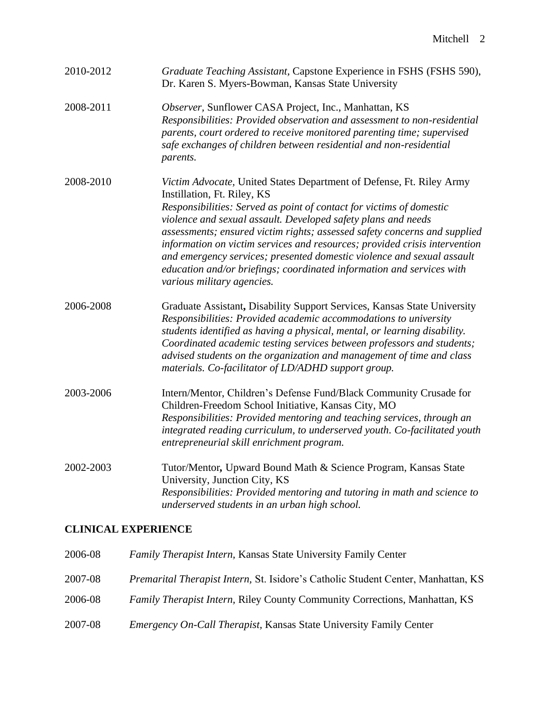| 2010-2012 | Graduate Teaching Assistant, Capstone Experience in FSHS (FSHS 590),<br>Dr. Karen S. Myers-Bowman, Kansas State University                                                                                                                                                                                                                                                                                                                                                                                                                                                               |
|-----------|------------------------------------------------------------------------------------------------------------------------------------------------------------------------------------------------------------------------------------------------------------------------------------------------------------------------------------------------------------------------------------------------------------------------------------------------------------------------------------------------------------------------------------------------------------------------------------------|
| 2008-2011 | Observer, Sunflower CASA Project, Inc., Manhattan, KS<br>Responsibilities: Provided observation and assessment to non-residential<br>parents, court ordered to receive monitored parenting time; supervised<br>safe exchanges of children between residential and non-residential<br>parents.                                                                                                                                                                                                                                                                                            |
| 2008-2010 | Victim Advocate, United States Department of Defense, Ft. Riley Army<br>Instillation, Ft. Riley, KS<br>Responsibilities: Served as point of contact for victims of domestic<br>violence and sexual assault. Developed safety plans and needs<br>assessments; ensured victim rights; assessed safety concerns and supplied<br>information on victim services and resources; provided crisis intervention<br>and emergency services; presented domestic violence and sexual assault<br>education and/or briefings; coordinated information and services with<br>various military agencies. |
| 2006-2008 | Graduate Assistant, Disability Support Services, Kansas State University<br>Responsibilities: Provided academic accommodations to university<br>students identified as having a physical, mental, or learning disability.<br>Coordinated academic testing services between professors and students;<br>advised students on the organization and management of time and class<br>materials. Co-facilitator of LD/ADHD support group.                                                                                                                                                      |
| 2003-2006 | Intern/Mentor, Children's Defense Fund/Black Community Crusade for<br>Children-Freedom School Initiative, Kansas City, MO<br>Responsibilities: Provided mentoring and teaching services, through an<br>integrated reading curriculum, to underserved youth. Co-facilitated youth<br>entrepreneurial skill enrichment program.                                                                                                                                                                                                                                                            |
| 2002-2003 | Tutor/Mentor, Upward Bound Math & Science Program, Kansas State<br>University, Junction City, KS<br>Responsibilities: Provided mentoring and tutoring in math and science to<br>underserved students in an urban high school.                                                                                                                                                                                                                                                                                                                                                            |

## **CLINICAL EXPERIENCE**

| 2006-08 | <b>Family Therapist Intern, Kansas State University Family Center</b>             |
|---------|-----------------------------------------------------------------------------------|
| 2007-08 | Premarital Therapist Intern, St. Isidore's Catholic Student Center, Manhattan, KS |
| 2006-08 | Family Therapist Intern, Riley County Community Corrections, Manhattan, KS        |
| 2007-08 | <i>Emergency On-Call Therapist</i> , Kansas State University Family Center        |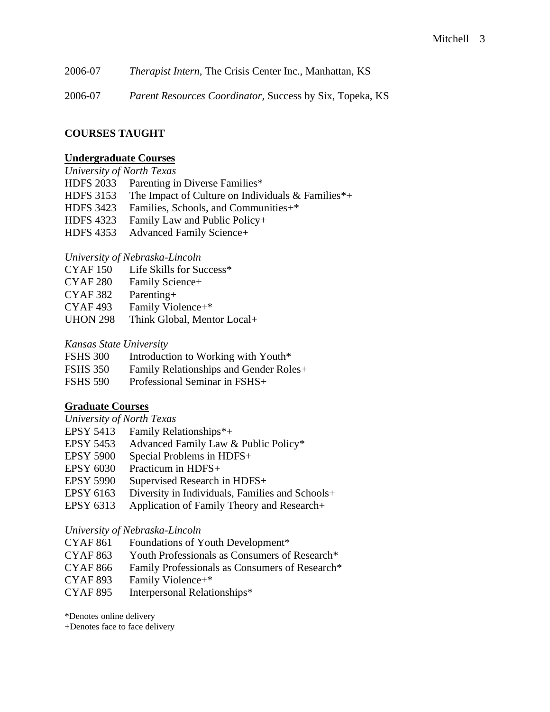2006-07 *Therapist Intern,* The Crisis Center Inc., Manhattan, KS

2006-07 *Parent Resources Coordinator,* Success by Six, Topeka, KS

## **COURSES TAUGHT**

## **Undergraduate Courses**

#### *University of North Texas*

HDFS 2033 Parenting in Diverse Families\*

- HDFS 3153 The Impact of Culture on Individuals & Families\*+
- HDFS 3423 Families, Schools, and Communities+\*
- HDFS 4323 Family Law and Public Policy+
- HDFS 4353 Advanced Family Science+

## *University of Nebraska-Lincoln*

- CYAF 150 Life Skills for Success\*
- CYAF 280 Family Science+
- CYAF 382 Parenting+
- CYAF 493 Family Violence+\*
- UHON 298 Think Global, Mentor Local+

#### *Kansas State University*

| <b>FSHS 300</b> | Introduction to Working with Youth*         |
|-----------------|---------------------------------------------|
| <b>FSHS 350</b> | Family Relationships and Gender Roles+      |
| $TATIA$ $FAA$   | $\mathbf{r}$ $\alpha$ $\mathbf{r}$ $\alpha$ |

FSHS 590 Professional Seminar in FSHS+

#### **Graduate Courses**

*University of North Texas*

- EPSY 5413 Family Relationships\*+
- EPSY 5453 Advanced Family Law & Public Policy\*
- EPSY 5900 Special Problems in HDFS+
- EPSY 6030 Practicum in HDFS+
- EPSY 5990 Supervised Research in HDFS+
- EPSY 6163 Diversity in Individuals, Families and Schools+
- EPSY 6313 Application of Family Theory and Research+

#### *University of Nebraska-Lincoln*

- CYAF 861 Foundations of Youth Development\*
- CYAF 863 Youth Professionals as Consumers of Research\*
- CYAF 866 Family Professionals as Consumers of Research\*
- CYAF 893 Family Violence+\*
- CYAF 895 Interpersonal Relationships\*

\*Denotes online delivery

+Denotes face to face delivery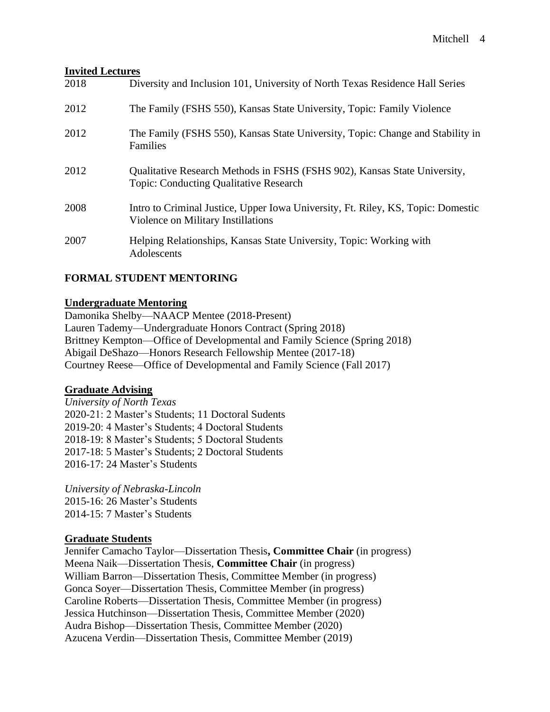#### **Invited Lectures**

| 2018 | Diversity and Inclusion 101, University of North Texas Residence Hall Series                                               |
|------|----------------------------------------------------------------------------------------------------------------------------|
| 2012 | The Family (FSHS 550), Kansas State University, Topic: Family Violence                                                     |
| 2012 | The Family (FSHS 550), Kansas State University, Topic: Change and Stability in<br>Families                                 |
| 2012 | Qualitative Research Methods in FSHS (FSHS 902), Kansas State University,<br><b>Topic: Conducting Qualitative Research</b> |
| 2008 | Intro to Criminal Justice, Upper Iowa University, Ft. Riley, KS, Topic: Domestic<br>Violence on Military Instillations     |
| 2007 | Helping Relationships, Kansas State University, Topic: Working with<br>Adolescents                                         |

## **FORMAL STUDENT MENTORING**

#### **Undergraduate Mentoring**

Damonika Shelby—NAACP Mentee (2018-Present) Lauren Tademy—Undergraduate Honors Contract (Spring 2018) Brittney Kempton—Office of Developmental and Family Science (Spring 2018) Abigail DeShazo—Honors Research Fellowship Mentee (2017-18) Courtney Reese—Office of Developmental and Family Science (Fall 2017)

#### **Graduate Advising**

*University of North Texas* 2020-21: 2 Master's Students; 11 Doctoral Sudents 2019-20: 4 Master's Students; 4 Doctoral Students 2018-19: 8 Master's Students; 5 Doctoral Students 2017-18: 5 Master's Students; 2 Doctoral Students 2016-17: 24 Master's Students

*University of Nebraska-Lincoln* 2015-16: 26 Master's Students 2014-15: 7 Master's Students

#### **Graduate Students**

Jennifer Camacho Taylor—Dissertation Thesis**, Committee Chair** (in progress) Meena Naik—Dissertation Thesis, **Committee Chair** (in progress) William Barron—Dissertation Thesis, Committee Member (in progress) Gonca Soyer—Dissertation Thesis, Committee Member (in progress) Caroline Roberts—Dissertation Thesis, Committee Member (in progress) Jessica Hutchinson—Dissertation Thesis, Committee Member (2020) Audra Bishop—Dissertation Thesis, Committee Member (2020) Azucena Verdin—Dissertation Thesis, Committee Member (2019)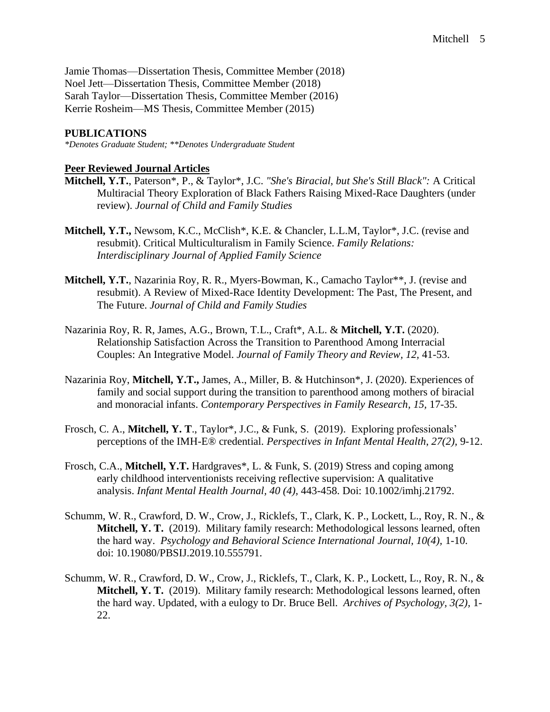Jamie Thomas—Dissertation Thesis, Committee Member (2018) Noel Jett—Dissertation Thesis, Committee Member (2018) Sarah Taylor—Dissertation Thesis, Committee Member (2016) Kerrie Rosheim—MS Thesis, Committee Member (2015)

#### **PUBLICATIONS**

*\*Denotes Graduate Student; \*\*Denotes Undergraduate Student*

#### **Peer Reviewed Journal Articles**

- **Mitchell, Y.T.**, Paterson\*, P., & Taylor\*, J.C. *"She's Biracial, but She's Still Black":* A Critical Multiracial Theory Exploration of Black Fathers Raising Mixed-Race Daughters (under review). *Journal of Child and Family Studies*
- **Mitchell, Y.T.,** Newsom, K.C., McClish\*, K.E. & Chancler, L.L.M, Taylor\*, J.C. (revise and resubmit). Critical Multiculturalism in Family Science. *Family Relations: Interdisciplinary Journal of Applied Family Science*
- **Mitchell, Y.T.**, Nazarinia Roy, R. R., Myers-Bowman, K., Camacho Taylor\*\*, J. (revise and resubmit). A Review of Mixed-Race Identity Development: The Past, The Present, and The Future. *Journal of Child and Family Studies*
- Nazarinia Roy, R. R, James, A.G., Brown, T.L., Craft\*, A.L. & **Mitchell, Y.T.** (2020). Relationship Satisfaction Across the Transition to Parenthood Among Interracial Couples: An Integrative Model. *Journal of Family Theory and Review, 12,* 41-53.
- Nazarinia Roy, **Mitchell, Y.T.,** James, A., Miller, B. & Hutchinson\*, J. (2020). Experiences of family and social support during the transition to parenthood among mothers of biracial and monoracial infants. *Contemporary Perspectives in Family Research, 15,* 17-35.
- Frosch, C. A., **Mitchell, Y. T**., Taylor\*, J.C., & Funk, S. (2019). Exploring professionals' perceptions of the IMH-E® credential. *Perspectives in Infant Mental Health*, *27(2),* 9-12.
- Frosch, C.A., **Mitchell, Y.T.** Hardgraves\*, L. & Funk, S. (2019) Stress and coping among early childhood interventionists receiving reflective supervision: A qualitative analysis. *Infant Mental Health Journal, 40 (4),* 443-458. Doi: 10.1002/imhj.21792.
- Schumm, W. R., Crawford, D. W., Crow, J., Ricklefs, T., Clark, K. P., Lockett, L., Roy, R. N., & **Mitchell, Y. T.** (2019). Military family research: Methodological lessons learned, often the hard way. *Psychology and Behavioral Science International Journal, 10(4),* 1-10. doi: 10.19080/PBSIJ.2019.10.555791.
- Schumm, W. R., Crawford, D. W., Crow, J., Ricklefs, T., Clark, K. P., Lockett, L., Roy, R. N., & **Mitchell, Y. T.** (2019). Military family research: Methodological lessons learned, often the hard way. Updated, with a eulogy to Dr. Bruce Bell. *Archives of Psychology, 3(2),* 1- 22.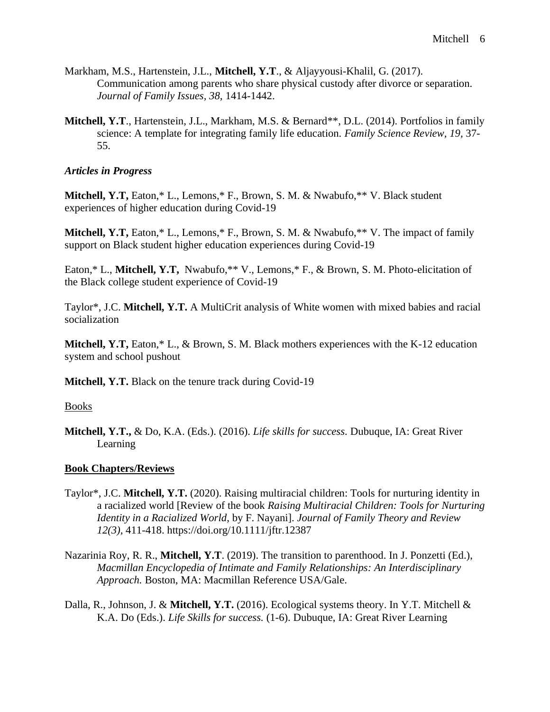- Markham, M.S., Hartenstein, J.L., **Mitchell, Y.T**., & Aljayyousi-Khalil, G. (2017). Communication among parents who share physical custody after divorce or separation. *Journal of Family Issues, 38,* 1414-1442.
- Mitchell, Y.T., Hartenstein, J.L., Markham, M.S. & Bernard\*\*, D.L. (2014). Portfolios in family science: A template for integrating family life education. *Family Science Review, 19,* 37- 55.

#### *Articles in Progress*

**Mitchell, Y.T,** Eaton,\* L., Lemons,\* F., Brown, S. M. & Nwabufo,\*\* V. Black student experiences of higher education during Covid-19

**Mitchell, Y.T,** Eaton,\* L., Lemons,\* F., Brown, S. M. & Nwabufo,\*\* V. The impact of family support on Black student higher education experiences during Covid-19

Eaton,\* L., Mitchell, Y.T, Nwabufo,\*\* V., Lemons,\* F., & Brown, S. M. Photo-elicitation of the Black college student experience of Covid-19

Taylor\*, J.C. **Mitchell, Y.T.** A MultiCrit analysis of White women with mixed babies and racial socialization

**Mitchell, Y.T,** Eaton,\* L., & Brown, S. M. Black mothers experiences with the K-12 education system and school pushout

**Mitchell, Y.T.** Black on the tenure track during Covid-19

Books

**Mitchell, Y.T.,** & Do, K.A. (Eds.). (2016). *Life skills for success.* Dubuque, IA: Great River Learning

#### **Book Chapters/Reviews**

- Taylor\*, J.C. **Mitchell, Y.T.** (2020). Raising multiracial children: Tools for nurturing identity in a racialized world [Review of the book *Raising Multiracial Children: Tools for Nurturing Identity in a Racialized World*, by F. Nayani]. *Journal of Family Theory and Review 12(3),* 411-418. https://doi.org/10.1111/jftr.12387
- Nazarinia Roy, R. R., **Mitchell, Y.T**. (2019). The transition to parenthood. In J. Ponzetti (Ed.), *Macmillan Encyclopedia of Intimate and Family Relationships: An Interdisciplinary Approach.* Boston, MA: Macmillan Reference USA/Gale.
- Dalla, R., Johnson, J. & **Mitchell, Y.T.** (2016). Ecological systems theory. In Y.T. Mitchell & K.A. Do (Eds.). *Life Skills for success.* (1-6). Dubuque, IA: Great River Learning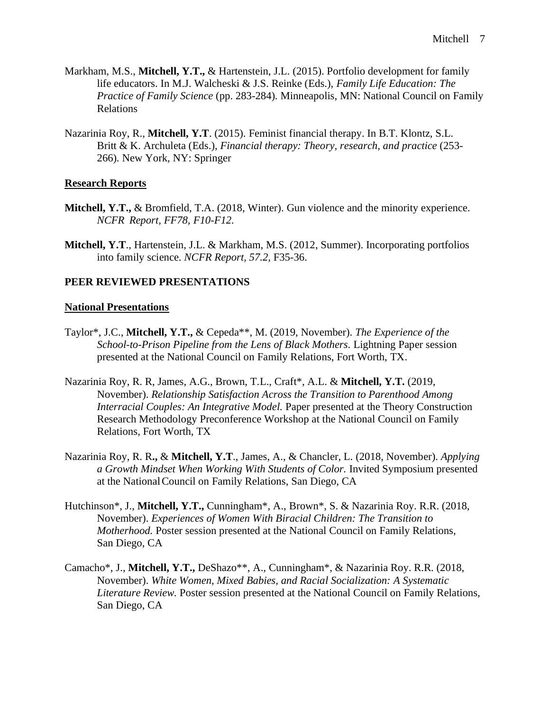- Markham, M.S., **Mitchell, Y.T.,** & Hartenstein, J.L. (2015). Portfolio development for family life educators. In M.J. Walcheski & J.S. Reinke (Eds.), *Family Life Education: The Practice of Family Science* (pp. 283-284)*.* Minneapolis, MN: National Council on Family Relations
- Nazarinia Roy, R., **Mitchell, Y.T**. (2015). Feminist financial therapy. In B.T. Klontz, S.L. Britt & K. Archuleta (Eds.), *Financial therapy: Theory, research, and practice* (253- 266)*.* New York, NY: Springer

#### **Research Reports**

- **Mitchell, Y.T.,** & Bromfield, T.A. (2018, Winter). Gun violence and the minority experience. *NCFR Report, FF78, F10-F12.*
- **Mitchell, Y.T**., Hartenstein, J.L. & Markham, M.S. (2012, Summer). Incorporating portfolios into family science. *NCFR Report, 57.2,* F35-36.

#### **PEER REVIEWED PRESENTATIONS**

#### **National Presentations**

- Taylor\*, J.C., **Mitchell, Y.T.,** & Cepeda\*\*, M. (2019, November). *The Experience of the School-to-Prison Pipeline from the Lens of Black Mothers.* Lightning Paper session presented at the National Council on Family Relations, Fort Worth, TX.
- Nazarinia Roy, R. R, James, A.G., Brown, T.L., Craft\*, A.L. & **Mitchell, Y.T.** (2019, November). *Relationship Satisfaction Across the Transition to Parenthood Among Interracial Couples: An Integrative Model.* Paper presented at the Theory Construction Research Methodology Preconference Workshop at the National Council on Family Relations, Fort Worth, TX
- Nazarinia Roy, R. R**.,** & **Mitchell, Y.T**., James, A., & Chancler, L. (2018, November). *Applying a Growth Mindset When Working With Students of Color.* Invited Symposium presented at the NationalCouncil on Family Relations, San Diego, CA
- Hutchinson\*, J., **Mitchell, Y.T.,** Cunningham\*, A., Brown\*, S. & Nazarinia Roy. R.R. (2018, November). *Experiences of Women With Biracial Children: The Transition to Motherhood.* Poster session presented at the National Council on Family Relations, San Diego, CA
- Camacho\*, J., **Mitchell, Y.T.,** DeShazo\*\*, A., Cunningham\*, & Nazarinia Roy. R.R. (2018, November). *White Women, Mixed Babies, and Racial Socialization: A Systematic Literature Review.* Poster session presented at the National Council on Family Relations, San Diego, CA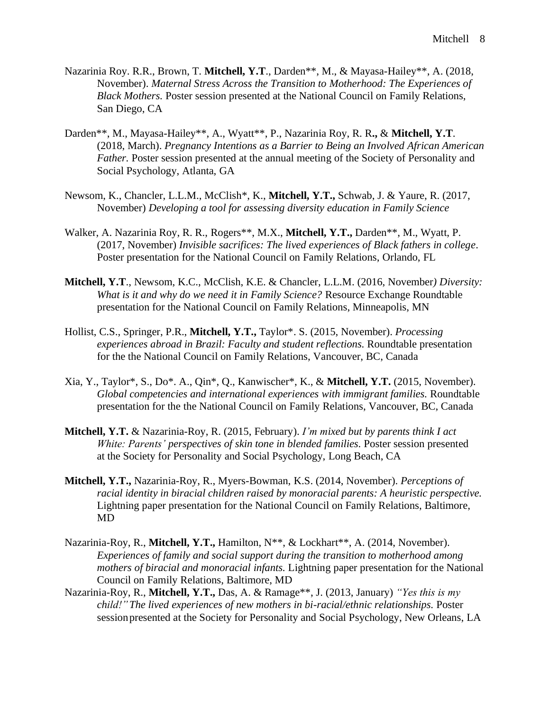- Nazarinia Roy. R.R., Brown, T. **Mitchell, Y.T**., Darden\*\*, M., & Mayasa-Hailey\*\*, A. (2018, November). *Maternal Stress Across the Transition to Motherhood: The Experiences of Black Mothers.* Poster session presented at the National Council on Family Relations, San Diego, CA
- Darden\*\*, M., Mayasa-Hailey\*\*, A., Wyatt\*\*, P., Nazarinia Roy, R. R**.,** & **Mitchell, Y.T**. (2018, March). *Pregnancy Intentions as a Barrier to Being an Involved African American Father.* Poster session presented at the annual meeting of the Society of Personality and Social Psychology, Atlanta, GA
- Newsom, K., Chancler, L.L.M., McClish\*, K., **Mitchell, Y.T.,** Schwab, J. & Yaure, R. (2017, November) *Developing a tool for assessing diversity education in Family Science*
- Walker, A. Nazarinia Roy, R. R., Rogers\*\*, M.X., **Mitchell, Y.T.,** Darden\*\*, M., Wyatt, P. (2017, November) *Invisible sacrifices: The lived experiences of Black fathers in college.* Poster presentation for the National Council on Family Relations, Orlando, FL
- **Mitchell, Y.T**., Newsom, K.C., McClish, K.E. & Chancler, L.L.M. (2016, November*) Diversity: What is it and why do we need it in Family Science?* Resource Exchange Roundtable presentation for the National Council on Family Relations, Minneapolis, MN
- Hollist, C.S., Springer, P.R., **Mitchell, Y.T.,** Taylor\*. S. (2015, November). *Processing experiences abroad in Brazil: Faculty and student reflections.* Roundtable presentation for the the National Council on Family Relations, Vancouver, BC, Canada
- Xia, Y., Taylor\*, S., Do\*. A., Qin\*, Q., Kanwischer\*, K., & **Mitchell, Y.T.** (2015, November). *Global competencies and international experiences with immigrant families.* Roundtable presentation for the the National Council on Family Relations, Vancouver, BC, Canada
- **Mitchell, Y.T.** & Nazarinia-Roy, R. (2015, February). *I'm mixed but by parents think I act White: Parents' perspectives of skin tone in blended families.* Poster session presented at the Society for Personality and Social Psychology, Long Beach, CA
- **Mitchell, Y.T.,** Nazarinia-Roy, R., Myers-Bowman, K.S. (2014, November). *Perceptions of racial identity in biracial children raised by monoracial parents: A heuristic perspective.* Lightning paper presentation for the National Council on Family Relations, Baltimore, MD
- Nazarinia-Roy, R., Mitchell, Y.T., Hamilton, N<sup>\*\*</sup>, & Lockhart<sup>\*\*</sup>, A. (2014, November). *Experiences of family and social support during the transition to motherhood among mothers of biracial and monoracial infants.* Lightning paper presentation for the National Council on Family Relations, Baltimore, MD
- Nazarinia-Roy, R., **Mitchell, Y.T.,** Das, A. & Ramage\*\*, J. (2013, January) *"Yes this is my child!" The lived experiences of new mothers in bi-racial/ethnic relationships. Poster* sessionpresented at the Society for Personality and Social Psychology, New Orleans, LA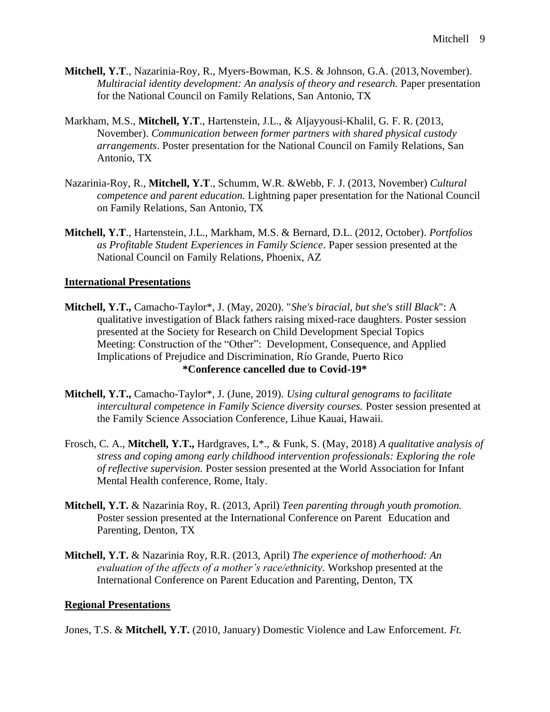- **Mitchell, Y.T**., Nazarinia-Roy, R., Myers-Bowman, K.S. & Johnson, G.A. (2013,November). *Multiracial identity development: An analysis of theory and research. Paper presentation* for the National Council on Family Relations, San Antonio, TX
- Markham, M.S., **Mitchell, Y.T**., Hartenstein, J.L., & Aljayyousi-Khalil, G. F. R. (2013, November). *Communication between former partners with shared physical custody arrangements*. Poster presentation for the National Council on Family Relations, San Antonio, TX
- Nazarinia-Roy, R., **Mitchell, Y.T**., Schumm, W.R. &Webb, F. J. (2013, November) *Cultural competence and parent education.* Lightning paper presentation for the National Council on Family Relations, San Antonio, TX
- **Mitchell, Y.T**., Hartenstein, J.L., Markham, M.S. & Bernard, D.L. (2012, October). *Portfolios as Profitable Student Experiences in Family Science*. Paper session presented at the National Council on Family Relations, Phoenix, AZ

#### **International Presentations**

- **Mitchell, Y.T.,** Camacho-Taylor\*, J. (May, 2020). "*She's biracial, but she's still Black*": A qualitative investigation of Black fathers raising mixed-race daughters. Poster session presented at the Society for Research on Child Development Special Topics Meeting: Construction of the "Other": Development, Consequence, and Applied Implications of Prejudice and Discrimination, Río Grande, Puerto Rico **\*Conference cancelled due to Covid-19\***
- **Mitchell, Y.T.,** Camacho-Taylor\*, J. (June, 2019). *Using cultural genograms to facilitate intercultural competence in Family Science diversity courses.* Poster session presented at the Family Science Association Conference, Lihue Kauai, Hawaii.
- Frosch, C. A., **Mitchell, Y.T.,** Hardgraves, L\*., & Funk, S. (May, 2018) *A qualitative analysis of stress and coping among early childhood intervention professionals: Exploring the role of reflective supervision.* Poster session presented at the World Association for Infant Mental Health conference, Rome, Italy.
- **Mitchell, Y.T.** & Nazarinia Roy, R. (2013, April) *Teen parenting through youth promotion.* Poster session presented at the International Conference on Parent Education and Parenting, Denton, TX
- **Mitchell, Y.T.** & Nazarinia Roy, R.R. (2013, April) *The experience of motherhood: An evaluation of the affects of a mother's race/ethnicity*. Workshop presented at the International Conference on Parent Education and Parenting, Denton, TX

#### **Regional Presentations**

Jones, T.S. & **Mitchell, Y.T.** (2010, January) Domestic Violence and Law Enforcement. *Ft.*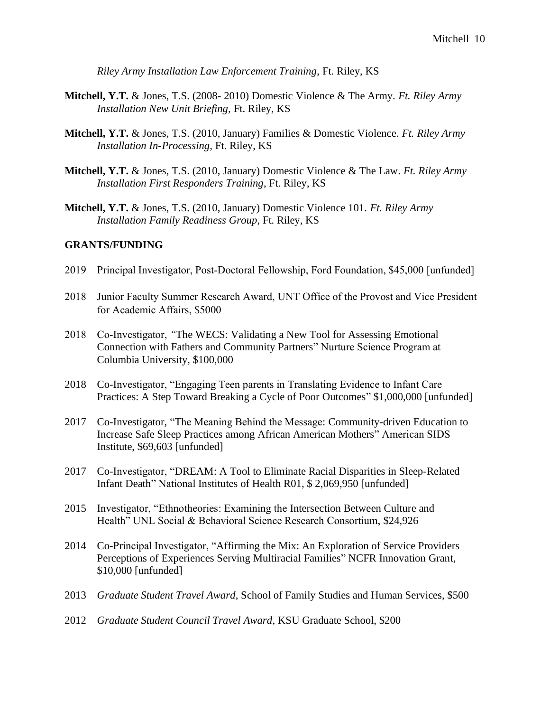*Riley Army Installation Law Enforcement Training*, Ft. Riley, KS

- **Mitchell, Y.T.** & Jones, T.S. (2008- 2010) Domestic Violence & The Army. *Ft. Riley Army Installation New Unit Briefing,* Ft. Riley, KS
- **Mitchell, Y.T.** & Jones, T.S. (2010, January) Families & Domestic Violence. *Ft. Riley Army Installation In-Processing,* Ft. Riley, KS
- **Mitchell, Y.T.** & Jones, T.S. (2010, January) Domestic Violence & The Law. *Ft. Riley Army Installation First Responders Training*, Ft. Riley, KS
- **Mitchell, Y.T.** & Jones, T.S. (2010, January) Domestic Violence 101. *Ft. Riley Army Installation Family Readiness Group,* Ft. Riley, KS

#### **GRANTS/FUNDING**

- 2019 Principal Investigator, Post-Doctoral Fellowship, Ford Foundation, \$45,000 [unfunded]
- 2018 Junior Faculty Summer Research Award, UNT Office of the Provost and Vice President for Academic Affairs, \$5000
- 2018 Co-Investigator, *"*The WECS: Validating a New Tool for Assessing Emotional Connection with Fathers and Community Partners" Nurture Science Program at Columbia University, \$100,000
- 2018 Co-Investigator, "Engaging Teen parents in Translating Evidence to Infant Care Practices: A Step Toward Breaking a Cycle of Poor Outcomes" \$1,000,000 [unfunded]
- 2017 Co-Investigator, "The Meaning Behind the Message: Community-driven Education to Increase Safe Sleep Practices among African American Mothers" American SIDS Institute, \$69,603 [unfunded]
- 2017 Co-Investigator, "DREAM: A Tool to Eliminate Racial Disparities in Sleep-Related Infant Death" National Institutes of Health R01, \$ 2,069,950 [unfunded]
- 2015 Investigator, "Ethnotheories: Examining the Intersection Between Culture and Health" UNL Social & Behavioral Science Research Consortium, \$24,926
- 2014 Co-Principal Investigator, "Affirming the Mix: An Exploration of Service Providers Perceptions of Experiences Serving Multiracial Families" NCFR Innovation Grant, \$10,000 [unfunded]
- 2013 *Graduate Student Travel Award*, School of Family Studies and Human Services, \$500
- 2012 *Graduate Student Council Travel Award*, KSU Graduate School, \$200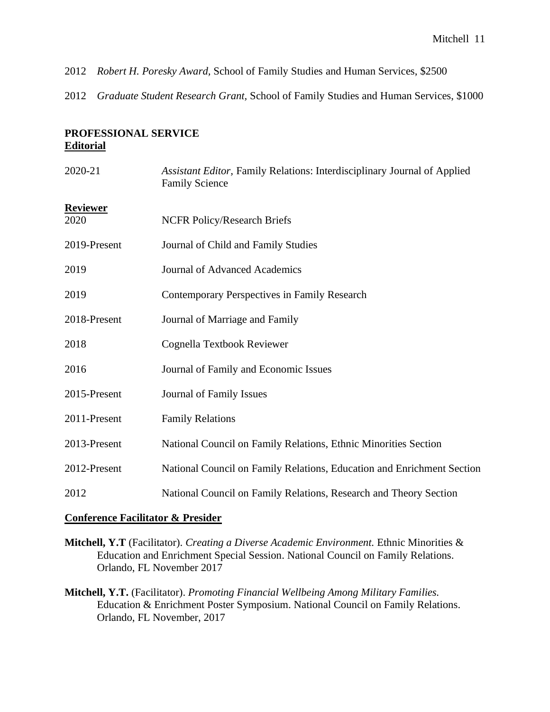- 2012 *Robert H. Poresky Award,* School of Family Studies and Human Services, \$2500
- 2012 *Graduate Student Research Grant,* School of Family Studies and Human Services, \$1000

#### **PROFESSIONAL SERVICE Editorial**

| 2020-21                 | Assistant Editor, Family Relations: Interdisciplinary Journal of Applied<br><b>Family Science</b> |
|-------------------------|---------------------------------------------------------------------------------------------------|
| <b>Reviewer</b><br>2020 | <b>NCFR Policy/Research Briefs</b>                                                                |
| 2019-Present            | Journal of Child and Family Studies                                                               |
| 2019                    | <b>Journal of Advanced Academics</b>                                                              |
| 2019                    | Contemporary Perspectives in Family Research                                                      |
| 2018-Present            | Journal of Marriage and Family                                                                    |
| 2018                    | Cognella Textbook Reviewer                                                                        |
| 2016                    | Journal of Family and Economic Issues                                                             |
| 2015-Present            | Journal of Family Issues                                                                          |
| 2011-Present            | <b>Family Relations</b>                                                                           |
| 2013-Present            | National Council on Family Relations, Ethnic Minorities Section                                   |
| 2012-Present            | National Council on Family Relations, Education and Enrichment Section                            |
| 2012                    | National Council on Family Relations, Research and Theory Section                                 |

#### **Conference Facilitator & Presider**

- **Mitchell, Y.T** (Facilitator). *Creating a Diverse Academic Environment.* Ethnic Minorities & Education and Enrichment Special Session. National Council on Family Relations. Orlando, FL November 2017
- **Mitchell, Y.T.** (Facilitator). *Promoting Financial Wellbeing Among Military Families.* Education & Enrichment Poster Symposium. National Council on Family Relations. Orlando, FL November, 2017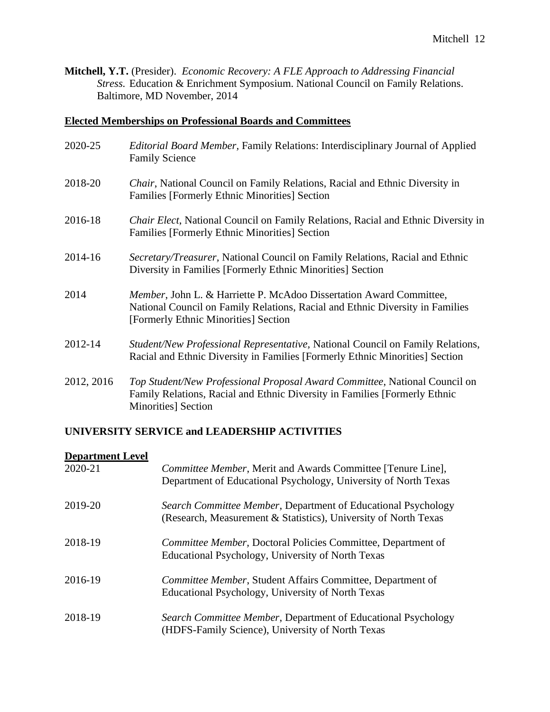**Mitchell, Y.T.** (Presider). *Economic Recovery: A FLE Approach to Addressing Financial Stress.* Education & Enrichment Symposium. National Council on Family Relations. Baltimore, MD November, 2014

## **Elected Memberships on Professional Boards and Committees**

| 2020-25    | <i>Editorial Board Member, Family Relations: Interdisciplinary Journal of Applied</i><br><b>Family Science</b>                                                                               |
|------------|----------------------------------------------------------------------------------------------------------------------------------------------------------------------------------------------|
| 2018-20    | <i>Chair</i> , National Council on Family Relations, Racial and Ethnic Diversity in<br><b>Families [Formerly Ethnic Minorities] Section</b>                                                  |
| 2016-18    | Chair Elect, National Council on Family Relations, Racial and Ethnic Diversity in<br><b>Families [Formerly Ethnic Minorities] Section</b>                                                    |
| 2014-16    | Secretary/Treasurer, National Council on Family Relations, Racial and Ethnic<br>Diversity in Families [Formerly Ethnic Minorities] Section                                                   |
| 2014       | Member, John L. & Harriette P. McAdoo Dissertation Award Committee,<br>National Council on Family Relations, Racial and Ethnic Diversity in Families<br>[Formerly Ethnic Minorities] Section |
| 2012-14    | Student/New Professional Representative, National Council on Family Relations,<br>Racial and Ethnic Diversity in Families [Formerly Ethnic Minorities] Section                               |
| 2012, 2016 | Top Student/New Professional Proposal Award Committee, National Council on<br>Family Relations, Racial and Ethnic Diversity in Families [Formerly Ethnic<br><b>Minorities</b> Section        |

## **UNIVERSITY SERVICE and LEADERSHIP ACTIVITIES**

#### **Department Level**

| 2020-21 | Committee Member, Merit and Awards Committee [Tenure Line],<br>Department of Educational Psychology, University of North Texas   |
|---------|----------------------------------------------------------------------------------------------------------------------------------|
| 2019-20 | Search Committee Member, Department of Educational Psychology<br>(Research, Measurement & Statistics), University of North Texas |
| 2018-19 | <i>Committee Member, Doctoral Policies Committee, Department of</i><br>Educational Psychology, University of North Texas         |
| 2016-19 | Committee Member, Student Affairs Committee, Department of<br>Educational Psychology, University of North Texas                  |
| 2018-19 | Search Committee Member, Department of Educational Psychology<br>(HDFS-Family Science), University of North Texas                |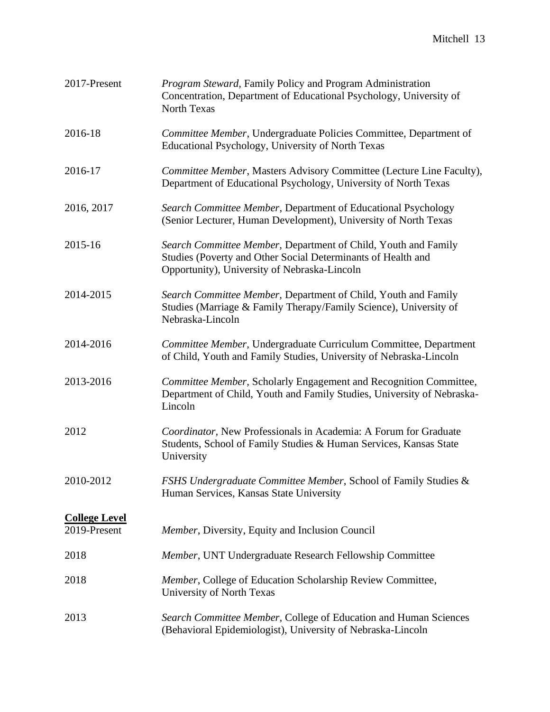| 2017-Present                         | <b>Program Steward, Family Policy and Program Administration</b><br>Concentration, Department of Educational Psychology, University of<br>North Texas                          |
|--------------------------------------|--------------------------------------------------------------------------------------------------------------------------------------------------------------------------------|
| 2016-18                              | Committee Member, Undergraduate Policies Committee, Department of<br>Educational Psychology, University of North Texas                                                         |
| 2016-17                              | Committee Member, Masters Advisory Committee (Lecture Line Faculty),<br>Department of Educational Psychology, University of North Texas                                        |
| 2016, 2017                           | Search Committee Member, Department of Educational Psychology<br>(Senior Lecturer, Human Development), University of North Texas                                               |
| 2015-16                              | Search Committee Member, Department of Child, Youth and Family<br>Studies (Poverty and Other Social Determinants of Health and<br>Opportunity), University of Nebraska-Lincoln |
| 2014-2015                            | Search Committee Member, Department of Child, Youth and Family<br>Studies (Marriage & Family Therapy/Family Science), University of<br>Nebraska-Lincoln                        |
| 2014-2016                            | Committee Member, Undergraduate Curriculum Committee, Department<br>of Child, Youth and Family Studies, University of Nebraska-Lincoln                                         |
| 2013-2016                            | Committee Member, Scholarly Engagement and Recognition Committee,<br>Department of Child, Youth and Family Studies, University of Nebraska-<br>Lincoln                         |
| 2012                                 | Coordinator, New Professionals in Academia: A Forum for Graduate<br>Students, School of Family Studies & Human Services, Kansas State<br>University                            |
| 2010-2012                            | FSHS Undergraduate Committee Member, School of Family Studies &<br>Human Services, Kansas State University                                                                     |
| <b>College Level</b><br>2019-Present | Member, Diversity, Equity and Inclusion Council                                                                                                                                |
| 2018                                 | Member, UNT Undergraduate Research Fellowship Committee                                                                                                                        |
| 2018                                 | Member, College of Education Scholarship Review Committee,<br>University of North Texas                                                                                        |
| 2013                                 | Search Committee Member, College of Education and Human Sciences<br>(Behavioral Epidemiologist), University of Nebraska-Lincoln                                                |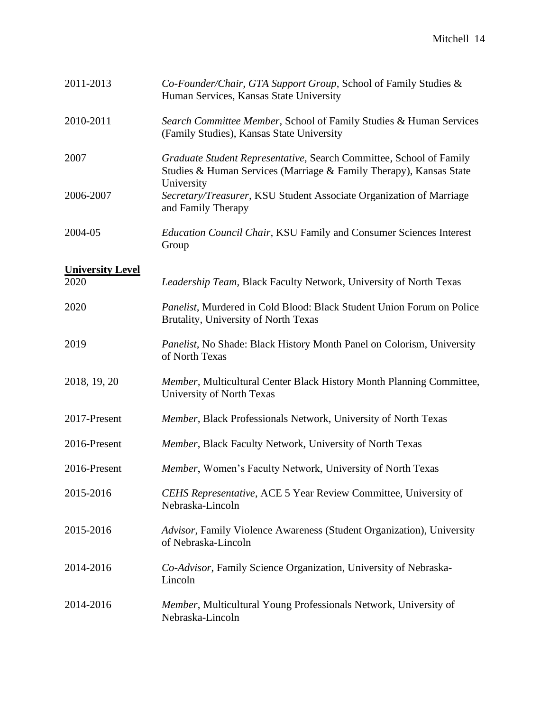| 2011-2013               | Co-Founder/Chair, GTA Support Group, School of Family Studies &<br>Human Services, Kansas State University                                |
|-------------------------|-------------------------------------------------------------------------------------------------------------------------------------------|
| 2010-2011               | Search Committee Member, School of Family Studies & Human Services<br>(Family Studies), Kansas State University                           |
| 2007                    | Graduate Student Representative, Search Committee, School of Family<br>Studies & Human Services (Marriage & Family Therapy), Kansas State |
| 2006-2007               | University<br>Secretary/Treasurer, KSU Student Associate Organization of Marriage<br>and Family Therapy                                   |
| 2004-05                 | <b>Education Council Chair, KSU Family and Consumer Sciences Interest</b><br>Group                                                        |
| <b>University Level</b> |                                                                                                                                           |
| 2020                    | Leadership Team, Black Faculty Network, University of North Texas                                                                         |
| 2020                    | Panelist, Murdered in Cold Blood: Black Student Union Forum on Police<br>Brutality, University of North Texas                             |
| 2019                    | <i>Panelist</i> , No Shade: Black History Month Panel on Colorism, University<br>of North Texas                                           |
| 2018, 19, 20            | Member, Multicultural Center Black History Month Planning Committee,<br>University of North Texas                                         |
| 2017-Present            | Member, Black Professionals Network, University of North Texas                                                                            |
| 2016-Present            | Member, Black Faculty Network, University of North Texas                                                                                  |
| 2016-Present            | Member, Women's Faculty Network, University of North Texas                                                                                |
| 2015-2016               | CEHS Representative, ACE 5 Year Review Committee, University of<br>Nebraska-Lincoln                                                       |
| 2015-2016               | Advisor, Family Violence Awareness (Student Organization), University<br>of Nebraska-Lincoln                                              |
| 2014-2016               | Co-Advisor, Family Science Organization, University of Nebraska-<br>Lincoln                                                               |
| 2014-2016               | Member, Multicultural Young Professionals Network, University of<br>Nebraska-Lincoln                                                      |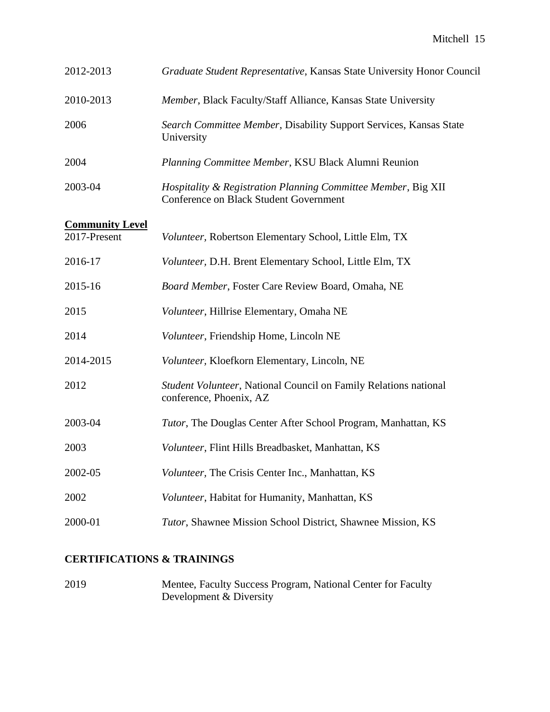| 2012-2013              | Graduate Student Representative, Kansas State University Honor Council                                  |
|------------------------|---------------------------------------------------------------------------------------------------------|
| 2010-2013              | Member, Black Faculty/Staff Alliance, Kansas State University                                           |
| 2006                   | Search Committee Member, Disability Support Services, Kansas State<br>University                        |
| 2004                   | Planning Committee Member, KSU Black Alumni Reunion                                                     |
| 2003-04                | Hospitality & Registration Planning Committee Member, Big XII<br>Conference on Black Student Government |
| <b>Community Level</b> |                                                                                                         |
| 2017-Present           | Volunteer, Robertson Elementary School, Little Elm, TX                                                  |
| 2016-17                | Volunteer, D.H. Brent Elementary School, Little Elm, TX                                                 |
| 2015-16                | Board Member, Foster Care Review Board, Omaha, NE                                                       |
| 2015                   | Volunteer, Hillrise Elementary, Omaha NE                                                                |
| 2014                   | Volunteer, Friendship Home, Lincoln NE                                                                  |
| 2014-2015              | Volunteer, Kloefkorn Elementary, Lincoln, NE                                                            |
| 2012                   | Student Volunteer, National Council on Family Relations national<br>conference, Phoenix, AZ             |
| 2003-04                | Tutor, The Douglas Center After School Program, Manhattan, KS                                           |
| 2003                   | Volunteer, Flint Hills Breadbasket, Manhattan, KS                                                       |
| 2002-05                | Volunteer, The Crisis Center Inc., Manhattan, KS                                                        |
| 2002                   | Volunteer, Habitat for Humanity, Manhattan, KS                                                          |
| 2000-01                | Tutor, Shawnee Mission School District, Shawnee Mission, KS                                             |

## **CERTIFICATIONS & TRAININGS**

2019 Mentee, Faculty Success Program, National Center for Faculty Development & Diversity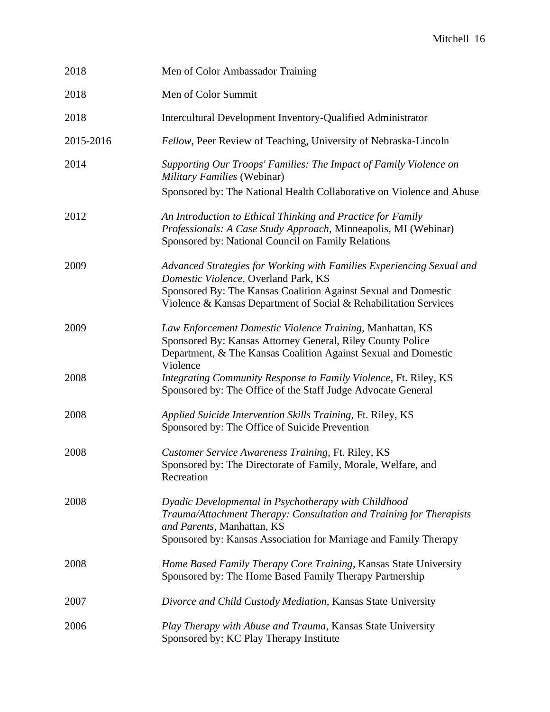| 2018      | Men of Color Ambassador Training                                                                                                                                                                                              |
|-----------|-------------------------------------------------------------------------------------------------------------------------------------------------------------------------------------------------------------------------------|
| 2018      | Men of Color Summit                                                                                                                                                                                                           |
| 2018      | Intercultural Development Inventory-Qualified Administrator                                                                                                                                                                   |
| 2015-2016 | Fellow, Peer Review of Teaching, University of Nebraska-Lincoln                                                                                                                                                               |
| 2014      | Supporting Our Troops' Families: The Impact of Family Violence on<br>Military Families (Webinar)                                                                                                                              |
|           | Sponsored by: The National Health Collaborative on Violence and Abuse                                                                                                                                                         |
| 2012      | An Introduction to Ethical Thinking and Practice for Family<br>Professionals: A Case Study Approach, Minneapolis, MI (Webinar)<br>Sponsored by: National Council on Family Relations                                          |
| 2009      | Advanced Strategies for Working with Families Experiencing Sexual and<br>Domestic Violence, Overland Park, KS<br>Sponsored By: The Kansas Coalition Against Sexual and Domestic                                               |
|           | Violence & Kansas Department of Social & Rehabilitation Services                                                                                                                                                              |
| 2009      | Law Enforcement Domestic Violence Training, Manhattan, KS<br>Sponsored By: Kansas Attorney General, Riley County Police<br>Department, & The Kansas Coalition Against Sexual and Domestic<br>Violence                         |
| 2008      | Integrating Community Response to Family Violence, Ft. Riley, KS<br>Sponsored by: The Office of the Staff Judge Advocate General                                                                                              |
| 2008      | Applied Suicide Intervention Skills Training, Ft. Riley, KS<br>Sponsored by: The Office of Suicide Prevention                                                                                                                 |
| 2008      | Customer Service Awareness Training, Ft. Riley, KS<br>Sponsored by: The Directorate of Family, Morale, Welfare, and<br>Recreation                                                                                             |
| 2008      | Dyadic Developmental in Psychotherapy with Childhood<br>Trauma/Attachment Therapy: Consultation and Training for Therapists<br>and Parents, Manhattan, KS<br>Sponsored by: Kansas Association for Marriage and Family Therapy |
| 2008      | Home Based Family Therapy Core Training, Kansas State University<br>Sponsored by: The Home Based Family Therapy Partnership                                                                                                   |
| 2007      | Divorce and Child Custody Mediation, Kansas State University                                                                                                                                                                  |
| 2006      | Play Therapy with Abuse and Trauma, Kansas State University<br>Sponsored by: KC Play Therapy Institute                                                                                                                        |